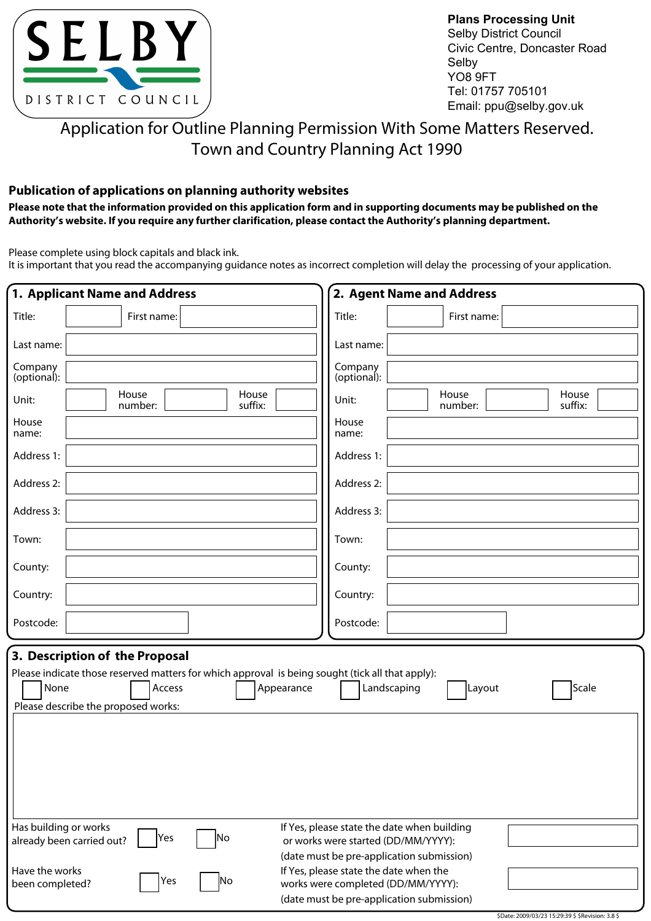

**Plans Processing Unit** Selby District Council Civic Centre, Doncaster Road Selby YO8 9FT Tel: 01757 705101 Email: ppu@selby.gov.uk

# Application for Outline Planning Permission With Some Matters Reserved. Town and Country Planning Act 1990

### **Publication of applications on planning authority websites**

**Please note that the information provided on this application form and in supporting documents may be published on the Authority's website. If you require any further clarification, please contact the Authority's planning department.**

Please complete using block capitals and black ink.

It is important that you read the accompanying guidance notes as incorrect completion will delay the processing of your application.

| 1. Applicant Name and Address                                                                                                                                                                                                               | 2. Agent Name and Address                                                                                                                                                                                                   |  |  |  |  |  |  |  |
|---------------------------------------------------------------------------------------------------------------------------------------------------------------------------------------------------------------------------------------------|-----------------------------------------------------------------------------------------------------------------------------------------------------------------------------------------------------------------------------|--|--|--|--|--|--|--|
| Title:<br>First name:                                                                                                                                                                                                                       | Title:<br>First name:                                                                                                                                                                                                       |  |  |  |  |  |  |  |
| Last name:                                                                                                                                                                                                                                  | Last name:                                                                                                                                                                                                                  |  |  |  |  |  |  |  |
| Company<br>(optional):                                                                                                                                                                                                                      | Company<br>(optional):                                                                                                                                                                                                      |  |  |  |  |  |  |  |
| House<br>House<br>Unit:<br>suffix:<br>number:                                                                                                                                                                                               | House<br>House<br>Unit:<br>suffix:<br>number:                                                                                                                                                                               |  |  |  |  |  |  |  |
| House<br>name:                                                                                                                                                                                                                              | House<br>name:                                                                                                                                                                                                              |  |  |  |  |  |  |  |
| Address 1:                                                                                                                                                                                                                                  | Address 1:                                                                                                                                                                                                                  |  |  |  |  |  |  |  |
| Address 2:                                                                                                                                                                                                                                  | Address 2:                                                                                                                                                                                                                  |  |  |  |  |  |  |  |
| Address 3:                                                                                                                                                                                                                                  | Address 3:                                                                                                                                                                                                                  |  |  |  |  |  |  |  |
| Town:                                                                                                                                                                                                                                       | Town:                                                                                                                                                                                                                       |  |  |  |  |  |  |  |
| County:                                                                                                                                                                                                                                     | County:                                                                                                                                                                                                                     |  |  |  |  |  |  |  |
| Country:                                                                                                                                                                                                                                    | Country:                                                                                                                                                                                                                    |  |  |  |  |  |  |  |
| Postcode:                                                                                                                                                                                                                                   | Postcode:                                                                                                                                                                                                                   |  |  |  |  |  |  |  |
| 3. Description of the Proposal<br>Please indicate those reserved matters for which approval is being sought (tick all that apply):<br>Access<br>None<br>Appearance<br>Landscaping<br>Layout<br>Scale<br>Please describe the proposed works: |                                                                                                                                                                                                                             |  |  |  |  |  |  |  |
| Has building or works<br>lYes<br> No<br>already been carried out?                                                                                                                                                                           | If Yes, please state the date when building<br>or works were started (DD/MM/YYYY):                                                                                                                                          |  |  |  |  |  |  |  |
| Have the works<br>Yes<br>Νo<br>been completed?                                                                                                                                                                                              | (date must be pre-application submission)<br>If Yes, please state the date when the<br>works were completed (DD/MM/YYYY):<br>(date must be pre-application submission)<br>\$Date: 2009/03/23 15:29:39 \$ \$Revision: 3.8 \$ |  |  |  |  |  |  |  |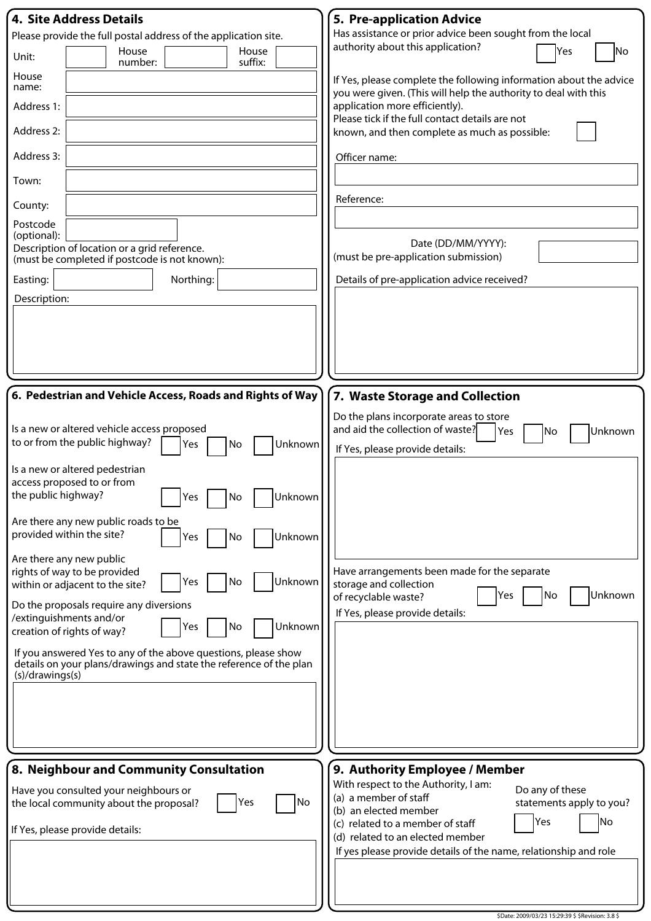| 4. Site Address Details                                                                                                                                 | 5. Pre-application Advice                                                                                    |
|---------------------------------------------------------------------------------------------------------------------------------------------------------|--------------------------------------------------------------------------------------------------------------|
| Please provide the full postal address of the application site.                                                                                         | Has assistance or prior advice been sought from the local                                                    |
| House<br>House<br>Unit:<br>suffix:<br>number:                                                                                                           | authority about this application?<br>Yes<br>No                                                               |
| House<br>name:                                                                                                                                          | If Yes, please complete the following information about the advice                                           |
| Address 1:                                                                                                                                              | you were given. (This will help the authority to deal with this<br>application more efficiently).            |
| Address 2:                                                                                                                                              | Please tick if the full contact details are not<br>known, and then complete as much as possible:             |
| Address 3:                                                                                                                                              | Officer name:                                                                                                |
| Town:                                                                                                                                                   |                                                                                                              |
| County:                                                                                                                                                 | Reference:                                                                                                   |
| Postcode<br>(optional):                                                                                                                                 |                                                                                                              |
| Description of location or a grid reference.<br>(must be completed if postcode is not known):                                                           | Date (DD/MM/YYYY):<br>(must be pre-application submission)                                                   |
| Easting:<br>Northing:                                                                                                                                   | Details of pre-application advice received?                                                                  |
| Description:                                                                                                                                            |                                                                                                              |
|                                                                                                                                                         |                                                                                                              |
|                                                                                                                                                         |                                                                                                              |
|                                                                                                                                                         |                                                                                                              |
|                                                                                                                                                         |                                                                                                              |
| 6. Pedestrian and Vehicle Access, Roads and Rights of Way                                                                                               | 7. Waste Storage and Collection                                                                              |
| Is a new or altered vehicle access proposed                                                                                                             | Do the plans incorporate areas to store<br>and aid the collection of waste?<br>Unknown<br>Yes<br>No          |
| to or from the public highway?<br>Unknown<br>No<br>Yes                                                                                                  | If Yes, please provide details:                                                                              |
| Is a new or altered pedestrian                                                                                                                          |                                                                                                              |
| access proposed to or from<br>the public highway?<br>Yes  <br>INo.<br><b>Unknown</b>                                                                    |                                                                                                              |
| Are there any new public roads to be                                                                                                                    |                                                                                                              |
| provided within the site?<br>Unknown<br>Yes<br>No                                                                                                       |                                                                                                              |
| Are there any new public                                                                                                                                |                                                                                                              |
| rights of way to be provided<br>Unknown<br>No<br>Yes<br>within or adjacent to the site?                                                                 | Have arrangements been made for the separate<br>storage and collection                                       |
| Do the proposals require any diversions                                                                                                                 | Unknown<br>Yes<br>No<br>of recyclable waste?                                                                 |
| /extinguishments and/or<br>Unknown<br>Yes<br>No<br>creation of rights of way?                                                                           | If Yes, please provide details:                                                                              |
|                                                                                                                                                         |                                                                                                              |
| If you answered Yes to any of the above questions, please show<br>details on your plans/drawings and state the reference of the plan<br>(s)/drawings(s) |                                                                                                              |
|                                                                                                                                                         |                                                                                                              |
|                                                                                                                                                         |                                                                                                              |
|                                                                                                                                                         |                                                                                                              |
|                                                                                                                                                         |                                                                                                              |
| 8. Neighbour and Community Consultation                                                                                                                 | 9. Authority Employee / Member                                                                               |
| Have you consulted your neighbours or<br>No)<br>Yes<br>the local community about the proposal?                                                          | With respect to the Authority, I am:<br>Do any of these<br>(a) a member of staff<br>statements apply to you? |
|                                                                                                                                                         | (b) an elected member<br> Yes<br> No<br>(c) related to a member of staff                                     |
| If Yes, please provide details:                                                                                                                         | (d) related to an elected member                                                                             |
|                                                                                                                                                         | If yes please provide details of the name, relationship and role                                             |
|                                                                                                                                                         |                                                                                                              |
|                                                                                                                                                         |                                                                                                              |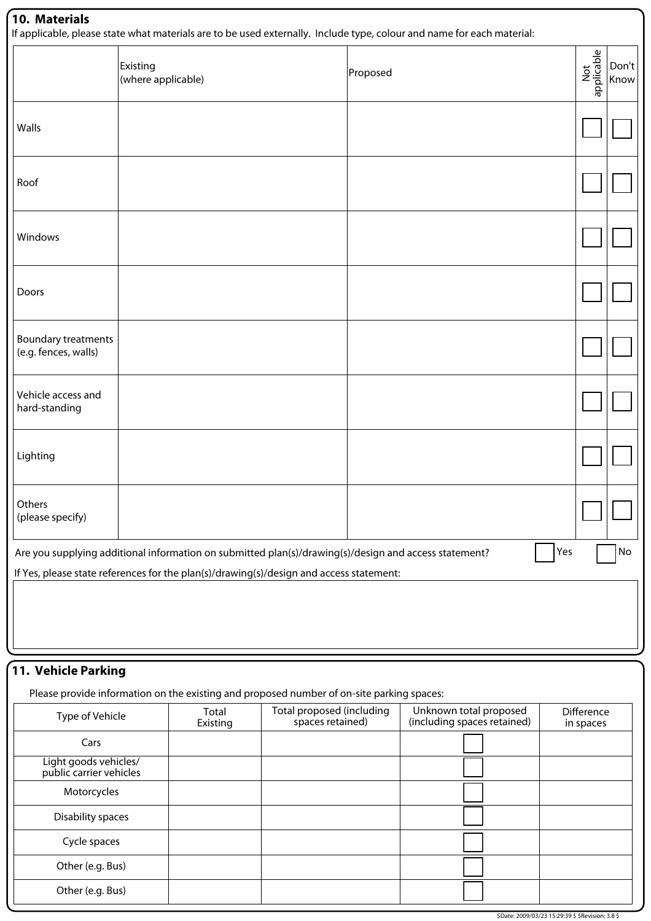## **10. Materials**

If applicable, please state what materials are to be used externally. Include type, colour and name for each material:

| . .<br>. .                                                                                                                                                                                                                              |                                | . .      |                   |               |  |  |  |  |  |
|-----------------------------------------------------------------------------------------------------------------------------------------------------------------------------------------------------------------------------------------|--------------------------------|----------|-------------------|---------------|--|--|--|--|--|
|                                                                                                                                                                                                                                         | Existing<br>(where applicable) | Proposed | Not<br>applicable | Don't<br>Know |  |  |  |  |  |
| Walls                                                                                                                                                                                                                                   |                                |          |                   |               |  |  |  |  |  |
| Roof                                                                                                                                                                                                                                    |                                |          |                   |               |  |  |  |  |  |
| Windows                                                                                                                                                                                                                                 |                                |          |                   |               |  |  |  |  |  |
| Doors                                                                                                                                                                                                                                   |                                |          |                   |               |  |  |  |  |  |
| Boundary treatments<br>(e.g. fences, walls)                                                                                                                                                                                             |                                |          |                   |               |  |  |  |  |  |
| Vehicle access and<br>hard-standing                                                                                                                                                                                                     |                                |          |                   |               |  |  |  |  |  |
| Lighting                                                                                                                                                                                                                                |                                |          |                   |               |  |  |  |  |  |
| Others<br>(please specify)                                                                                                                                                                                                              |                                |          |                   |               |  |  |  |  |  |
| Yes<br>Are you supplying additional information on submitted plan(s)/drawing(s)/design and access statement?<br>$\operatorname{\mathsf{No}}$<br>If Yes, please state references for the plan(s)/drawing(s)/design and access statement: |                                |          |                   |               |  |  |  |  |  |
|                                                                                                                                                                                                                                         |                                |          |                   |               |  |  |  |  |  |
|                                                                                                                                                                                                                                         |                                |          |                   |               |  |  |  |  |  |

## **11. Vehicle Parking**

Please provide information on the existing and proposed number of on-site parking spaces:

| Type of Vehicle                                  | Total<br>Existing | Total proposed (including<br>spaces retained) | Unknown total proposed<br>(including spaces retained) | <b>Difference</b><br>in spaces |
|--------------------------------------------------|-------------------|-----------------------------------------------|-------------------------------------------------------|--------------------------------|
| Cars                                             |                   |                                               |                                                       |                                |
| Light goods vehicles/<br>public carrier vehicles |                   |                                               |                                                       |                                |
| Motorcycles                                      |                   |                                               |                                                       |                                |
| Disability spaces                                |                   |                                               |                                                       |                                |
| Cycle spaces                                     |                   |                                               |                                                       |                                |
| Other (e.g. Bus)                                 |                   |                                               |                                                       |                                |
| Other (e.g. Bus)                                 |                   |                                               |                                                       |                                |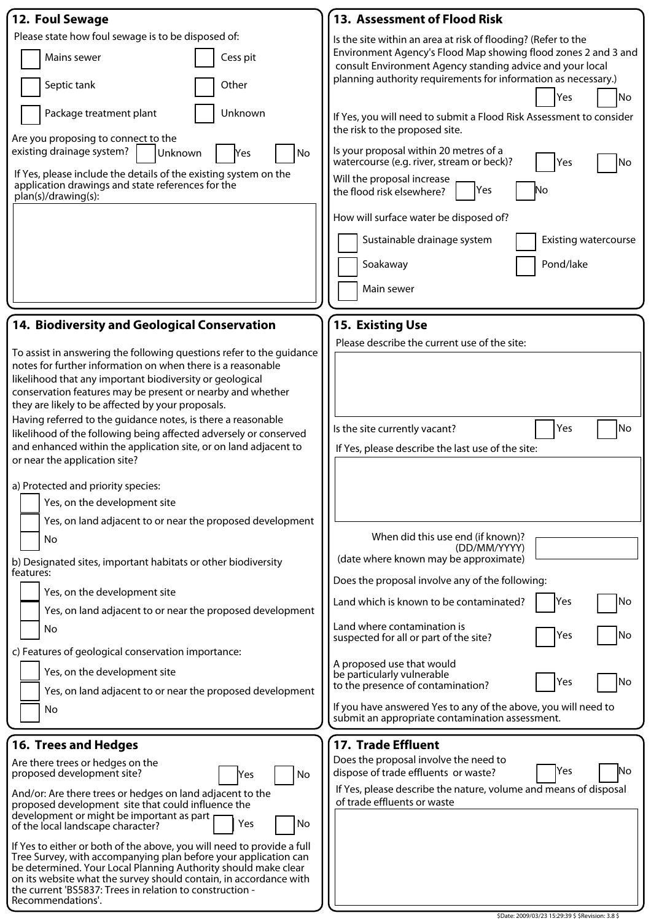| 12. Foul Sewage                                                                                                                                                                                                                                                                                                    | 13. Assessment of Flood Risk                                                                                                   |  |  |  |  |  |  |  |
|--------------------------------------------------------------------------------------------------------------------------------------------------------------------------------------------------------------------------------------------------------------------------------------------------------------------|--------------------------------------------------------------------------------------------------------------------------------|--|--|--|--|--|--|--|
| Please state how foul sewage is to be disposed of:                                                                                                                                                                                                                                                                 | Is the site within an area at risk of flooding? (Refer to the                                                                  |  |  |  |  |  |  |  |
| Mains sewer<br>Cess pit                                                                                                                                                                                                                                                                                            | Environment Agency's Flood Map showing flood zones 2 and 3 and<br>consult Environment Agency standing advice and your local    |  |  |  |  |  |  |  |
| Septic tank<br>Other                                                                                                                                                                                                                                                                                               | planning authority requirements for information as necessary.)<br>No<br>Yes                                                    |  |  |  |  |  |  |  |
| Unknown<br>Package treatment plant                                                                                                                                                                                                                                                                                 | If Yes, you will need to submit a Flood Risk Assessment to consider<br>the risk to the proposed site.                          |  |  |  |  |  |  |  |
| Are you proposing to connect to the<br>existing drainage system?<br>Unknown<br>No<br><b>Yes</b>                                                                                                                                                                                                                    | Is your proposal within 20 metres of a                                                                                         |  |  |  |  |  |  |  |
| If Yes, please include the details of the existing system on the<br>application drawings and state references for the                                                                                                                                                                                              | watercourse (e.g. river, stream or beck)?<br>Yes<br>No<br>Will the proposal increase<br>Yes<br>No<br>the flood risk elsewhere? |  |  |  |  |  |  |  |
| plan(s)/drawing(s):                                                                                                                                                                                                                                                                                                | How will surface water be disposed of?                                                                                         |  |  |  |  |  |  |  |
|                                                                                                                                                                                                                                                                                                                    | Sustainable drainage system<br><b>Existing watercourse</b>                                                                     |  |  |  |  |  |  |  |
|                                                                                                                                                                                                                                                                                                                    | Pond/lake<br>Soakaway                                                                                                          |  |  |  |  |  |  |  |
|                                                                                                                                                                                                                                                                                                                    | Main sewer                                                                                                                     |  |  |  |  |  |  |  |
| 14. Biodiversity and Geological Conservation                                                                                                                                                                                                                                                                       | <b>15. Existing Use</b>                                                                                                        |  |  |  |  |  |  |  |
|                                                                                                                                                                                                                                                                                                                    | Please describe the current use of the site:                                                                                   |  |  |  |  |  |  |  |
| To assist in answering the following questions refer to the guidance<br>notes for further information on when there is a reasonable<br>likelihood that any important biodiversity or geological<br>conservation features may be present or nearby and whether<br>they are likely to be affected by your proposals. |                                                                                                                                |  |  |  |  |  |  |  |
| Having referred to the guidance notes, is there a reasonable                                                                                                                                                                                                                                                       | Yes<br>No<br>Is the site currently vacant?                                                                                     |  |  |  |  |  |  |  |
| likelihood of the following being affected adversely or conserved<br>and enhanced within the application site, or on land adjacent to                                                                                                                                                                              |                                                                                                                                |  |  |  |  |  |  |  |
| or near the application site?                                                                                                                                                                                                                                                                                      | If Yes, please describe the last use of the site:                                                                              |  |  |  |  |  |  |  |
|                                                                                                                                                                                                                                                                                                                    |                                                                                                                                |  |  |  |  |  |  |  |
| a) Protected and priority species:<br>Yes, on the development site                                                                                                                                                                                                                                                 |                                                                                                                                |  |  |  |  |  |  |  |
|                                                                                                                                                                                                                                                                                                                    |                                                                                                                                |  |  |  |  |  |  |  |
| Yes, on land adjacent to or near the proposed development<br>No                                                                                                                                                                                                                                                    | When did this use end (if known)?<br>(DD/MM/YYYY)                                                                              |  |  |  |  |  |  |  |
| b) Designated sites, important habitats or other biodiversity<br>features:                                                                                                                                                                                                                                         | (date where known may be approximate)                                                                                          |  |  |  |  |  |  |  |
| Yes, on the development site                                                                                                                                                                                                                                                                                       | Does the proposal involve any of the following:                                                                                |  |  |  |  |  |  |  |
| Yes, on land adjacent to or near the proposed development                                                                                                                                                                                                                                                          | Yes<br>No<br>Land which is known to be contaminated?                                                                           |  |  |  |  |  |  |  |
| No                                                                                                                                                                                                                                                                                                                 | Land where contamination is<br>No<br>Yes<br>suspected for all or part of the site?                                             |  |  |  |  |  |  |  |
| c) Features of geological conservation importance:                                                                                                                                                                                                                                                                 | A proposed use that would                                                                                                      |  |  |  |  |  |  |  |
| Yes, on the development site<br>Yes, on land adjacent to or near the proposed development                                                                                                                                                                                                                          | be particularly vulnerable<br> No<br>Yes<br>to the presence of contamination?                                                  |  |  |  |  |  |  |  |
| No                                                                                                                                                                                                                                                                                                                 | If you have answered Yes to any of the above, you will need to<br>submit an appropriate contamination assessment.              |  |  |  |  |  |  |  |
|                                                                                                                                                                                                                                                                                                                    |                                                                                                                                |  |  |  |  |  |  |  |
| <b>16. Trees and Hedges</b>                                                                                                                                                                                                                                                                                        | 17. Trade Effluent                                                                                                             |  |  |  |  |  |  |  |
| Are there trees or hedges on the<br>proposed development site?<br>No<br>Yes                                                                                                                                                                                                                                        | Does the proposal involve the need to<br>No<br><b>Yes</b><br>dispose of trade effluents or waste?                              |  |  |  |  |  |  |  |
| And/or: Are there trees or hedges on land adjacent to the                                                                                                                                                                                                                                                          | If Yes, please describe the nature, volume and means of disposal                                                               |  |  |  |  |  |  |  |
| proposed development site that could influence the                                                                                                                                                                                                                                                                 | of trade effluents or waste                                                                                                    |  |  |  |  |  |  |  |
| development or might be important as part<br>No<br>Yes<br>of the local landscape character?                                                                                                                                                                                                                        |                                                                                                                                |  |  |  |  |  |  |  |
| If Yes to either or both of the above, you will need to provide a full                                                                                                                                                                                                                                             |                                                                                                                                |  |  |  |  |  |  |  |
| Tree Survey, with accompanying plan before your application can<br>be determined. Your Local Planning Authority should make clear<br>on its website what the survey should contain, in accordance with<br>the current 'BS5837: Trees in relation to construction -                                                 |                                                                                                                                |  |  |  |  |  |  |  |
| Recommendations'.                                                                                                                                                                                                                                                                                                  |                                                                                                                                |  |  |  |  |  |  |  |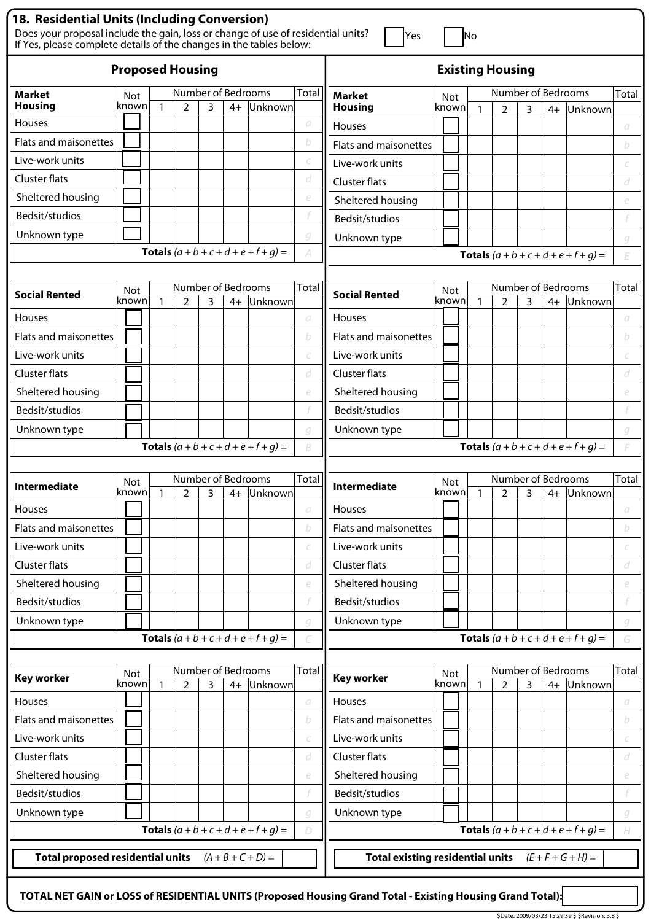| 18. Residential Units (Including Conversion)                                                                                                            |                     |                          |                         |              |                                                                                                |                                               |              |                                         |                         |              |                |   |      |                                               |              |
|---------------------------------------------------------------------------------------------------------------------------------------------------------|---------------------|--------------------------|-------------------------|--------------|------------------------------------------------------------------------------------------------|-----------------------------------------------|--------------|-----------------------------------------|-------------------------|--------------|----------------|---|------|-----------------------------------------------|--------------|
| Does your proposal include the gain, loss or change of use of residential units?<br>If Yes, please complete details of the changes in the tables below: |                     |                          |                         |              |                                                                                                |                                               |              | Yes                                     |                         | No           |                |   |      |                                               |              |
|                                                                                                                                                         |                     |                          | <b>Proposed Housing</b> |              |                                                                                                |                                               |              |                                         | <b>Existing Housing</b> |              |                |   |      |                                               |              |
| <b>Market</b>                                                                                                                                           | <b>Not</b>          |                          |                         |              |                                                                                                | Number of Bedrooms                            | <b>Total</b> | Market                                  | Not                     |              |                |   |      | Number of Bedrooms                            | Total        |
| <b>Housing</b>                                                                                                                                          | known               | $\mathbf{1}$             | 2                       | 3            | $4+$                                                                                           | Unknown                                       |              | <b>Housing</b>                          | known                   | $\mathbf{1}$ | $\overline{2}$ | 3 | $4+$ | Unknown                                       |              |
| Houses                                                                                                                                                  |                     |                          |                         |              |                                                                                                |                                               | a            | <b>Houses</b>                           |                         |              |                |   |      |                                               | а            |
| Flats and maisonettes                                                                                                                                   |                     |                          |                         |              |                                                                                                |                                               | b            | Flats and maisonettes                   |                         |              |                |   |      |                                               | b            |
| Live-work units                                                                                                                                         |                     |                          |                         |              |                                                                                                |                                               |              | Live-work units                         |                         |              |                |   |      |                                               |              |
| Cluster flats                                                                                                                                           |                     |                          |                         |              |                                                                                                |                                               | d            | <b>Cluster flats</b>                    |                         |              |                |   |      |                                               | d            |
| Sheltered housing                                                                                                                                       |                     |                          |                         |              |                                                                                                |                                               | e            | Sheltered housing                       |                         |              |                |   |      |                                               | e            |
| Bedsit/studios                                                                                                                                          |                     |                          |                         |              |                                                                                                |                                               |              | Bedsit/studios                          |                         |              |                |   |      |                                               |              |
| Unknown type                                                                                                                                            |                     |                          |                         |              |                                                                                                |                                               | q            | Unknown type                            |                         |              |                |   |      |                                               | g            |
|                                                                                                                                                         |                     |                          |                         |              |                                                                                                | <b>Totals</b> $(a + b + c + d + e + f + g) =$ | A            |                                         |                         |              |                |   |      | <b>Totals</b> $(a + b + c + d + e + f + q) =$ | E            |
|                                                                                                                                                         |                     |                          |                         |              |                                                                                                |                                               |              |                                         |                         |              |                |   |      |                                               |              |
| <b>Social Rented</b>                                                                                                                                    | <b>Not</b><br>known |                          | $\overline{2}$          | 3            | $4+$                                                                                           | Number of Bedrooms<br>Unknown                 | Total        | <b>Social Rented</b>                    | <b>Not</b><br>known     | 1            | $\overline{2}$ | 3 | $4+$ | Number of Bedrooms<br>Unknown                 | Total        |
| Houses                                                                                                                                                  |                     |                          |                         |              |                                                                                                |                                               | a            | <b>Houses</b>                           |                         |              |                |   |      |                                               | а            |
| Flats and maisonettes                                                                                                                                   |                     |                          |                         |              |                                                                                                |                                               | b            | Flats and maisonettes                   |                         |              |                |   |      |                                               | b            |
| Live-work units                                                                                                                                         |                     |                          |                         |              |                                                                                                |                                               |              | Live-work units                         |                         |              |                |   |      |                                               |              |
| Cluster flats                                                                                                                                           |                     |                          |                         |              |                                                                                                |                                               | d            | <b>Cluster flats</b>                    |                         |              |                |   |      |                                               | d            |
| Sheltered housing                                                                                                                                       |                     |                          |                         |              |                                                                                                |                                               | e            | Sheltered housing                       |                         |              |                |   |      |                                               | e            |
| Bedsit/studios                                                                                                                                          |                     |                          |                         |              |                                                                                                |                                               |              | Bedsit/studios                          |                         |              |                |   |      |                                               |              |
| Unknown type                                                                                                                                            |                     |                          |                         |              |                                                                                                |                                               | q            | Unknown type                            |                         |              |                |   |      |                                               | q            |
|                                                                                                                                                         |                     |                          |                         |              |                                                                                                | <b>Totals</b> $(a + b + c + d + e + f + q) =$ | B            |                                         |                         |              |                |   |      | <b>Totals</b> $(a + b + c + d + e + f + g) =$ |              |
|                                                                                                                                                         |                     |                          |                         |              |                                                                                                |                                               |              |                                         |                         |              |                |   |      |                                               |              |
| Intermediate                                                                                                                                            | <b>Not</b>          |                          |                         |              |                                                                                                | Number of Bedrooms                            | Total        | <b>Intermediate</b>                     | <b>Not</b>              |              |                |   |      | Number of Bedrooms                            | Total        |
|                                                                                                                                                         | knownl              | $\overline{\phantom{0}}$ | $\mathcal{D}$           | $\mathbf{z}$ |                                                                                                | 4+ Unknown                                    |              |                                         | known  1                |              | $\mathcal{P}$  | ς |      | 4+ Unknown                                    |              |
| Houses                                                                                                                                                  |                     |                          |                         |              |                                                                                                |                                               | а            | Houses                                  |                         |              |                |   |      |                                               | a            |
| Flats and maisonettes                                                                                                                                   |                     |                          |                         |              |                                                                                                |                                               | b            | Flats and maisonettes                   |                         |              |                |   |      |                                               | b            |
| Live-work units                                                                                                                                         |                     |                          |                         |              |                                                                                                |                                               |              | Live-work units                         |                         |              |                |   |      |                                               |              |
| <b>Cluster flats</b>                                                                                                                                    |                     |                          |                         |              |                                                                                                |                                               | d            | <b>Cluster flats</b>                    |                         |              |                |   |      |                                               | d            |
| Sheltered housing                                                                                                                                       |                     |                          |                         |              |                                                                                                |                                               | e            | Sheltered housing                       |                         |              |                |   |      |                                               | e            |
| Bedsit/studios                                                                                                                                          |                     |                          |                         |              |                                                                                                |                                               |              | Bedsit/studios                          |                         |              |                |   |      |                                               |              |
| Unknown type                                                                                                                                            |                     |                          |                         |              |                                                                                                |                                               | q            | Unknown type                            |                         |              |                |   |      |                                               | g            |
|                                                                                                                                                         |                     |                          |                         |              |                                                                                                | <b>Totals</b> $(a + b + c + d + e + f + g) =$ |              |                                         |                         |              |                |   |      | <b>Totals</b> $(a + b + c + d + e + f + g) =$ | G            |
|                                                                                                                                                         |                     |                          |                         |              |                                                                                                | Number of Bedrooms                            |              |                                         |                         |              |                |   |      | Number of Bedrooms                            | <b>Total</b> |
| <b>Key worker</b>                                                                                                                                       | Not<br>known        | $\mathbf{1}$             | $\overline{2}$          | 3            | $4+$                                                                                           | Unknown                                       | Total        | Key worker                              | Not<br>known            | $\mathbf{1}$ | $\overline{2}$ | 3 | $4+$ | Unknown                                       |              |
| Houses                                                                                                                                                  |                     |                          |                         |              |                                                                                                |                                               | а            | Houses                                  |                         |              |                |   |      |                                               | а            |
| Flats and maisonettes                                                                                                                                   |                     |                          |                         |              |                                                                                                |                                               | b            | Flats and maisonettes                   |                         |              |                |   |      |                                               | b            |
| Live-work units                                                                                                                                         |                     |                          |                         |              |                                                                                                |                                               | C            | Live-work units                         |                         |              |                |   |      |                                               | C            |
| <b>Cluster flats</b>                                                                                                                                    |                     |                          |                         |              |                                                                                                |                                               | d            | <b>Cluster flats</b>                    |                         |              |                |   |      |                                               | d            |
| Sheltered housing                                                                                                                                       |                     |                          |                         |              |                                                                                                |                                               | e            | Sheltered housing                       |                         |              |                |   |      |                                               | e            |
| Bedsit/studios                                                                                                                                          |                     |                          |                         |              |                                                                                                |                                               |              | Bedsit/studios                          |                         |              |                |   |      |                                               |              |
| Unknown type                                                                                                                                            |                     |                          |                         |              |                                                                                                |                                               | g            | Unknown type                            |                         |              |                |   |      |                                               | g            |
|                                                                                                                                                         |                     |                          |                         |              |                                                                                                |                                               |              |                                         |                         |              |                |   |      |                                               | H            |
|                                                                                                                                                         |                     |                          |                         |              | <b>Totals</b> $(a + b + c + d + e + f + g) =$<br><b>Totals</b> $(a + b + c + d + e + f + g) =$ |                                               |              |                                         |                         |              |                |   |      |                                               |              |
|                                                                                                                                                         |                     |                          |                         |              |                                                                                                |                                               | D            |                                         |                         |              |                |   |      |                                               |              |
| <b>Total proposed residential units</b>                                                                                                                 |                     |                          |                         |              |                                                                                                | $(A + B + C + D) =$                           |              | <b>Total existing residential units</b> |                         |              |                |   |      | $(E + F + G + H) =$                           |              |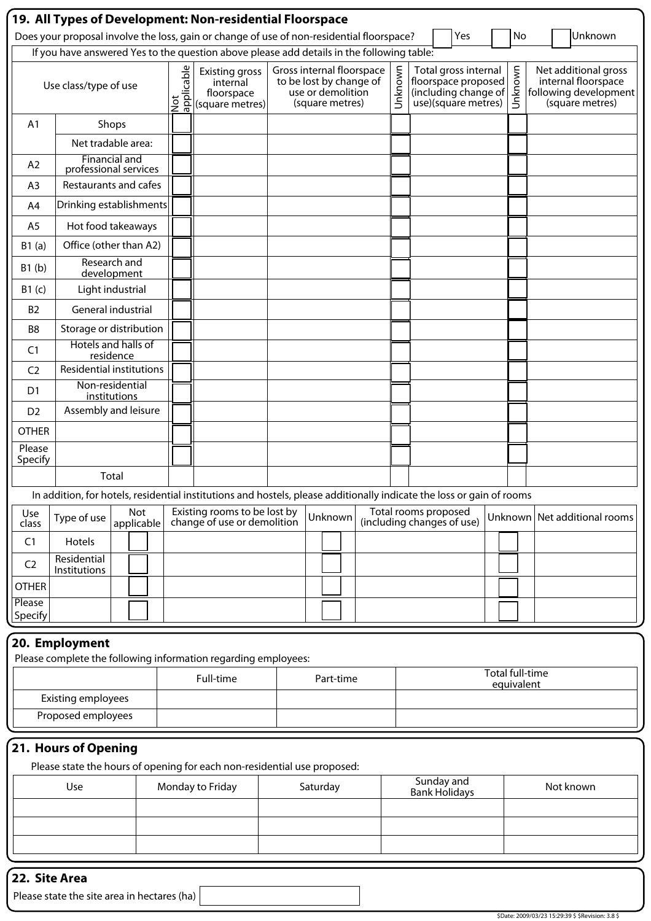|                   |                                               |           |                   |                   | 19. All Types of Development: Non-residential Floorspace                                                              |  |                                      |                                                      |         |                                                                                            |         |    |                                |                                                                |  |
|-------------------|-----------------------------------------------|-----------|-------------------|-------------------|-----------------------------------------------------------------------------------------------------------------------|--|--------------------------------------|------------------------------------------------------|---------|--------------------------------------------------------------------------------------------|---------|----|--------------------------------|----------------------------------------------------------------|--|
|                   |                                               |           |                   |                   | Does your proposal involve the loss, gain or change of use of non-residential floorspace?                             |  |                                      |                                                      |         | Yes                                                                                        |         | No |                                | Unknown                                                        |  |
|                   |                                               |           |                   |                   | If you have answered Yes to the question above please add details in the following table:                             |  |                                      |                                                      |         |                                                                                            |         |    |                                |                                                                |  |
|                   | Use class/type of use                         |           |                   | Not<br>applicable | <b>Existing gross</b><br>internal<br>floorspace<br>(square metres)                                                    |  | use or demolition<br>(square metres) | Gross internal floorspace<br>to be lost by change of | Unknown | Total gross internal<br>floorspace proposed<br>(including change of<br>use)(square metres) | Unknown |    | following development          | Net additional gross<br>internal floorspace<br>(square metres) |  |
| A1                |                                               | Shops     |                   |                   |                                                                                                                       |  |                                      |                                                      |         |                                                                                            |         |    |                                |                                                                |  |
|                   | Net tradable area:                            |           |                   |                   |                                                                                                                       |  |                                      |                                                      |         |                                                                                            |         |    |                                |                                                                |  |
| A <sub>2</sub>    | <b>Financial and</b><br>professional services |           |                   |                   |                                                                                                                       |  |                                      |                                                      |         |                                                                                            |         |    |                                |                                                                |  |
| A <sub>3</sub>    | Restaurants and cafes                         |           |                   |                   |                                                                                                                       |  |                                      |                                                      |         |                                                                                            |         |    |                                |                                                                |  |
| A4                | Drinking establishments                       |           |                   |                   |                                                                                                                       |  |                                      |                                                      |         |                                                                                            |         |    |                                |                                                                |  |
| A <sub>5</sub>    | Hot food takeaways                            |           |                   |                   |                                                                                                                       |  |                                      |                                                      |         |                                                                                            |         |    |                                |                                                                |  |
| B1(a)             | Office (other than A2)                        |           |                   |                   |                                                                                                                       |  |                                      |                                                      |         |                                                                                            |         |    |                                |                                                                |  |
| B1(b)             | Research and<br>development                   |           |                   |                   |                                                                                                                       |  |                                      |                                                      |         |                                                                                            |         |    |                                |                                                                |  |
| B1(c)             | Light industrial                              |           |                   |                   |                                                                                                                       |  |                                      |                                                      |         |                                                                                            |         |    |                                |                                                                |  |
| <b>B2</b>         | General industrial                            |           |                   |                   |                                                                                                                       |  |                                      |                                                      |         |                                                                                            |         |    |                                |                                                                |  |
| B <sub>8</sub>    | Storage or distribution                       |           |                   |                   |                                                                                                                       |  |                                      |                                                      |         |                                                                                            |         |    |                                |                                                                |  |
| C <sub>1</sub>    | Hotels and halls of                           | residence |                   |                   |                                                                                                                       |  |                                      |                                                      |         |                                                                                            |         |    |                                |                                                                |  |
| C <sub>2</sub>    | <b>Residential institutions</b>               |           |                   |                   |                                                                                                                       |  |                                      |                                                      |         |                                                                                            |         |    |                                |                                                                |  |
| D1                | Non-residential<br>institutions               |           |                   |                   |                                                                                                                       |  |                                      |                                                      |         |                                                                                            |         |    |                                |                                                                |  |
| D <sub>2</sub>    | Assembly and leisure                          |           |                   |                   |                                                                                                                       |  |                                      |                                                      |         |                                                                                            |         |    |                                |                                                                |  |
| <b>OTHER</b>      |                                               |           |                   |                   |                                                                                                                       |  |                                      |                                                      |         |                                                                                            |         |    |                                |                                                                |  |
| Please<br>Specify |                                               |           |                   |                   |                                                                                                                       |  |                                      |                                                      |         |                                                                                            |         |    |                                |                                                                |  |
|                   |                                               | Total     |                   |                   |                                                                                                                       |  |                                      |                                                      |         |                                                                                            |         |    |                                |                                                                |  |
|                   |                                               |           |                   |                   | In addition, for hotels, residential institutions and hostels, please additionally indicate the loss or gain of rooms |  |                                      |                                                      |         |                                                                                            |         |    |                                |                                                                |  |
| Use<br>class      | Type of use                                   |           | Not<br>applicable |                   | Existing rooms to be lost by<br>change of use or demolition                                                           |  | Unknown                              |                                                      |         | Total rooms proposed<br>(including changes of use)                                         |         |    | Unknown   Net additional rooms |                                                                |  |
| C1                | Hotels                                        |           |                   |                   |                                                                                                                       |  |                                      |                                                      |         |                                                                                            |         |    |                                |                                                                |  |
| C <sub>2</sub>    | Residential<br>Institutions                   |           |                   |                   |                                                                                                                       |  |                                      |                                                      |         |                                                                                            |         |    |                                |                                                                |  |
| <b>OTHER</b>      |                                               |           |                   |                   |                                                                                                                       |  |                                      |                                                      |         |                                                                                            |         |    |                                |                                                                |  |
| Please<br>Specify |                                               |           |                   |                   |                                                                                                                       |  |                                      |                                                      |         |                                                                                            |         |    |                                |                                                                |  |
| 30 P.             |                                               |           |                   |                   |                                                                                                                       |  |                                      |                                                      |         |                                                                                            |         |    |                                |                                                                |  |

#### **20. Employment**

Please complete the following information regarding employees:

|                    | Full-time | Part-time | Total full-time<br>equivalent |
|--------------------|-----------|-----------|-------------------------------|
| Existing employees |           |           |                               |
| Proposed employees |           |           |                               |

## **21. Hours of Opening**

Please state the hours of opening for each non-residential use proposed:

| Use | Monday to Friday | Saturday | Sunday and<br>Bank Holidays | Not known |
|-----|------------------|----------|-----------------------------|-----------|
|     |                  |          |                             |           |
|     |                  |          |                             |           |
|     |                  |          |                             |           |
|     |                  |          |                             |           |

## **22. Site Area**

Please state the site area in hectares (ha)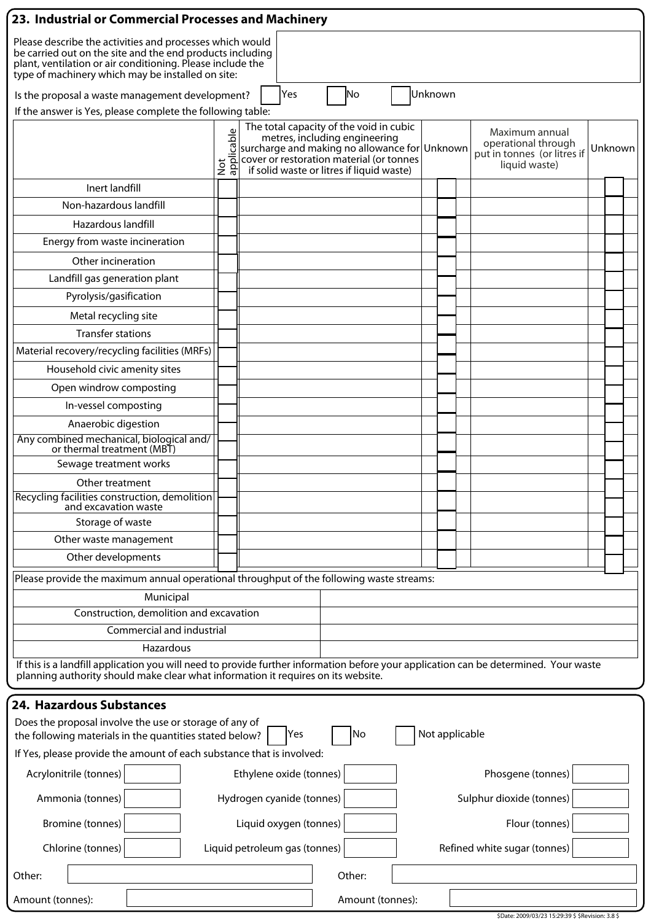| 23. Industrial or Commercial Processes and Machinery                                                                                                                                                                                     |                           |  |                               |                                                                                                                                                                                                                    |    |                  |  |                |                          |                                                                                       |  |         |  |
|------------------------------------------------------------------------------------------------------------------------------------------------------------------------------------------------------------------------------------------|---------------------------|--|-------------------------------|--------------------------------------------------------------------------------------------------------------------------------------------------------------------------------------------------------------------|----|------------------|--|----------------|--------------------------|---------------------------------------------------------------------------------------|--|---------|--|
| Please describe the activities and processes which would<br>be carried out on the site and the end products including<br>plant, ventilation or air conditioning. Please include the<br>type of machinery which may be installed on site: |                           |  |                               |                                                                                                                                                                                                                    |    |                  |  |                |                          |                                                                                       |  |         |  |
| No<br>Unknown<br>Yes<br>Is the proposal a waste management development?                                                                                                                                                                  |                           |  |                               |                                                                                                                                                                                                                    |    |                  |  |                |                          |                                                                                       |  |         |  |
| If the answer is Yes, please complete the following table:                                                                                                                                                                               |                           |  |                               |                                                                                                                                                                                                                    |    |                  |  |                |                          |                                                                                       |  |         |  |
|                                                                                                                                                                                                                                          | Not<br>applicable         |  |                               | The total capacity of the void in cubic<br>metres, including engineering<br>surcharge and making no allowance for Unknown<br>cover or restoration material (or tonnes<br>if solid waste or litres if liquid waste) |    |                  |  |                |                          | Maximum annual<br>operational through<br>put in tonnes (or litres if<br>liquid waste) |  | Unknown |  |
| Inert landfill                                                                                                                                                                                                                           |                           |  |                               |                                                                                                                                                                                                                    |    |                  |  |                |                          |                                                                                       |  |         |  |
| Non-hazardous landfill                                                                                                                                                                                                                   |                           |  |                               |                                                                                                                                                                                                                    |    |                  |  |                |                          |                                                                                       |  |         |  |
| Hazardous landfill                                                                                                                                                                                                                       |                           |  |                               |                                                                                                                                                                                                                    |    |                  |  |                |                          |                                                                                       |  |         |  |
| Energy from waste incineration                                                                                                                                                                                                           |                           |  |                               |                                                                                                                                                                                                                    |    |                  |  |                |                          |                                                                                       |  |         |  |
| Other incineration                                                                                                                                                                                                                       |                           |  |                               |                                                                                                                                                                                                                    |    |                  |  |                |                          |                                                                                       |  |         |  |
| Landfill gas generation plant                                                                                                                                                                                                            |                           |  |                               |                                                                                                                                                                                                                    |    |                  |  |                |                          |                                                                                       |  |         |  |
| Pyrolysis/gasification                                                                                                                                                                                                                   |                           |  |                               |                                                                                                                                                                                                                    |    |                  |  |                |                          |                                                                                       |  |         |  |
| Metal recycling site                                                                                                                                                                                                                     |                           |  |                               |                                                                                                                                                                                                                    |    |                  |  |                |                          |                                                                                       |  |         |  |
| <b>Transfer stations</b>                                                                                                                                                                                                                 |                           |  |                               |                                                                                                                                                                                                                    |    |                  |  |                |                          |                                                                                       |  |         |  |
| Material recovery/recycling facilities (MRFs)                                                                                                                                                                                            |                           |  |                               |                                                                                                                                                                                                                    |    |                  |  |                |                          |                                                                                       |  |         |  |
| Household civic amenity sites                                                                                                                                                                                                            |                           |  |                               |                                                                                                                                                                                                                    |    |                  |  |                |                          |                                                                                       |  |         |  |
| Open windrow composting                                                                                                                                                                                                                  |                           |  |                               |                                                                                                                                                                                                                    |    |                  |  |                |                          |                                                                                       |  |         |  |
| In-vessel composting                                                                                                                                                                                                                     |                           |  |                               |                                                                                                                                                                                                                    |    |                  |  |                |                          |                                                                                       |  |         |  |
| Anaerobic digestion                                                                                                                                                                                                                      |                           |  |                               |                                                                                                                                                                                                                    |    |                  |  |                |                          |                                                                                       |  |         |  |
| Any combined mechanical, biological and/<br>or thermal treatment (MBT)                                                                                                                                                                   |                           |  |                               |                                                                                                                                                                                                                    |    |                  |  |                |                          |                                                                                       |  |         |  |
| Sewage treatment works                                                                                                                                                                                                                   |                           |  |                               |                                                                                                                                                                                                                    |    |                  |  |                |                          |                                                                                       |  |         |  |
| Other treatment                                                                                                                                                                                                                          |                           |  |                               |                                                                                                                                                                                                                    |    |                  |  |                |                          |                                                                                       |  |         |  |
| Recycling facilities construction, demolition<br>and excavation waste                                                                                                                                                                    |                           |  |                               |                                                                                                                                                                                                                    |    |                  |  |                |                          |                                                                                       |  |         |  |
| Storage of waste                                                                                                                                                                                                                         |                           |  |                               |                                                                                                                                                                                                                    |    |                  |  |                |                          |                                                                                       |  |         |  |
| Other waste management                                                                                                                                                                                                                   |                           |  |                               |                                                                                                                                                                                                                    |    |                  |  |                |                          |                                                                                       |  |         |  |
| Other developments                                                                                                                                                                                                                       |                           |  |                               |                                                                                                                                                                                                                    |    |                  |  |                |                          |                                                                                       |  |         |  |
| Please provide the maximum annual operational throughput of the following waste streams:                                                                                                                                                 |                           |  |                               |                                                                                                                                                                                                                    |    |                  |  |                |                          |                                                                                       |  |         |  |
| Municipal                                                                                                                                                                                                                                |                           |  |                               |                                                                                                                                                                                                                    |    |                  |  |                |                          |                                                                                       |  |         |  |
| Construction, demolition and excavation                                                                                                                                                                                                  |                           |  |                               |                                                                                                                                                                                                                    |    |                  |  |                |                          |                                                                                       |  |         |  |
| Commercial and industrial                                                                                                                                                                                                                |                           |  |                               |                                                                                                                                                                                                                    |    |                  |  |                |                          |                                                                                       |  |         |  |
| Hazardous                                                                                                                                                                                                                                |                           |  |                               |                                                                                                                                                                                                                    |    |                  |  |                |                          |                                                                                       |  |         |  |
| If this is a landfill application you will need to provide further information before your application can be determined. Your waste<br>planning authority should make clear what information it requires on its website.                |                           |  |                               |                                                                                                                                                                                                                    |    |                  |  |                |                          |                                                                                       |  |         |  |
| 24. Hazardous Substances                                                                                                                                                                                                                 |                           |  |                               |                                                                                                                                                                                                                    |    |                  |  |                |                          |                                                                                       |  |         |  |
| Does the proposal involve the use or storage of any of<br>the following materials in the quantities stated below?                                                                                                                        |                           |  | Yes                           |                                                                                                                                                                                                                    | No |                  |  | Not applicable |                          |                                                                                       |  |         |  |
| If Yes, please provide the amount of each substance that is involved:                                                                                                                                                                    |                           |  |                               |                                                                                                                                                                                                                    |    |                  |  |                |                          |                                                                                       |  |         |  |
| Acrylonitrile (tonnes)<br>Ethylene oxide (tonnes)                                                                                                                                                                                        |                           |  |                               |                                                                                                                                                                                                                    |    |                  |  |                |                          | Phosgene (tonnes)                                                                     |  |         |  |
| Ammonia (tonnes)                                                                                                                                                                                                                         | Hydrogen cyanide (tonnes) |  |                               |                                                                                                                                                                                                                    |    |                  |  |                | Sulphur dioxide (tonnes) |                                                                                       |  |         |  |
| Bromine (tonnes)                                                                                                                                                                                                                         | Liquid oxygen (tonnes)    |  |                               |                                                                                                                                                                                                                    |    |                  |  |                |                          | Flour (tonnes)                                                                        |  |         |  |
| Chlorine (tonnes)                                                                                                                                                                                                                        |                           |  | Liquid petroleum gas (tonnes) |                                                                                                                                                                                                                    |    |                  |  |                |                          | Refined white sugar (tonnes)                                                          |  |         |  |
| Other:                                                                                                                                                                                                                                   |                           |  |                               | Other:                                                                                                                                                                                                             |    |                  |  |                |                          |                                                                                       |  |         |  |
| Amount (tonnes):                                                                                                                                                                                                                         |                           |  |                               |                                                                                                                                                                                                                    |    | Amount (tonnes): |  |                |                          | \$Date: 2009/03/23 15:29:39 \$ \$Revision: 3.8 \$                                     |  |         |  |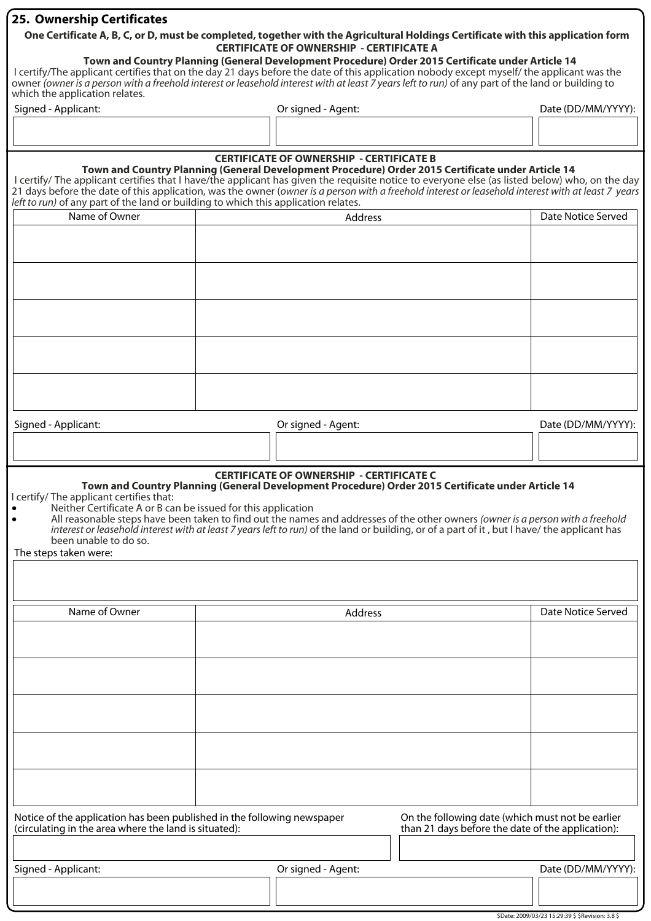#### **25. Ownership Certificates**

#### **One Certificate A, B, C, or D, must be completed, together with the Agricultural Holdings Certificate with this application form CERTIFICATE OF OWNERSHIP - CERTIFICATE A**

#### **Town and Country Planning (General Development Procedure) Order 2015 Certificate under Article 14**

I certify/The applicant certifies that on the day 21 days before the date of this application nobody except myself/ the applicant was the owner (owner is a person with a freehold interest or leasehold interest with at least 7 years left to run) of any part of the land or building to which the application relates.

| Signed<br>Applicant: | Or signed<br>1 - Agent: | Date (DD/MM/YYYY): |
|----------------------|-------------------------|--------------------|
|                      |                         |                    |
|                      |                         |                    |

# **CERTIFICATE OF OWNERSHIP - CERTIFICATE B Town and Country Planning (General Development Procedure) Order 2015 Certificate under Article 14** I certify/ The applicant certifies that I have/the applicant has given the requisite notice to everyone else (as listed below) who, on the day 21 days before the date of this application, was the owner (owner is a person with a freehold interest or leasehold interest with at least 7 years left to run) of any part of the land or building to which this application relates. Name of Owner **Address** Address **Date Notice Served Date Notice Served**

| Signed - Applicant: | Or signed - Agent: | Date (DD/MM/YYYY): |
|---------------------|--------------------|--------------------|
|                     |                    |                    |

## **CERTIFICATE OF OWNERSHIP - CERTIFICATE C**

**Town and Country Planning (General Development Procedure) Order 2015 Certificate under Article 14**

I certify/ The applicant certifies that:

- Neither Certificate A or B can be issued for this application<br>• All reasonable steps have been taken to find out the name
	- All reasonable steps have been taken to find out the names and addresses of the other owners (owner is a person with a freehold interest or leasehold interest with at least 7 years left to run) of the land or building, or of a part of it , but I have/ the applicant has been unable to do so.

The steps taken were:

| Name of Owner                                                                                                                    | Address |                    |                                                                                                       | Date Notice Served |
|----------------------------------------------------------------------------------------------------------------------------------|---------|--------------------|-------------------------------------------------------------------------------------------------------|--------------------|
|                                                                                                                                  |         |                    |                                                                                                       |                    |
|                                                                                                                                  |         |                    |                                                                                                       |                    |
|                                                                                                                                  |         |                    |                                                                                                       |                    |
|                                                                                                                                  |         |                    |                                                                                                       |                    |
|                                                                                                                                  |         |                    |                                                                                                       |                    |
|                                                                                                                                  |         |                    |                                                                                                       |                    |
|                                                                                                                                  |         |                    |                                                                                                       |                    |
|                                                                                                                                  |         |                    |                                                                                                       |                    |
|                                                                                                                                  |         |                    |                                                                                                       |                    |
|                                                                                                                                  |         |                    |                                                                                                       |                    |
| Notice of the application has been published in the following newspaper<br>(circulating in the area where the land is situated): |         |                    | On the following date (which must not be earlier<br>than 21 days before the date of the application): |                    |
|                                                                                                                                  |         |                    |                                                                                                       |                    |
| Signed - Applicant:                                                                                                              |         | Or signed - Agent: |                                                                                                       | Date (DD/MM/YYYY): |
|                                                                                                                                  |         |                    |                                                                                                       |                    |
|                                                                                                                                  |         |                    |                                                                                                       |                    |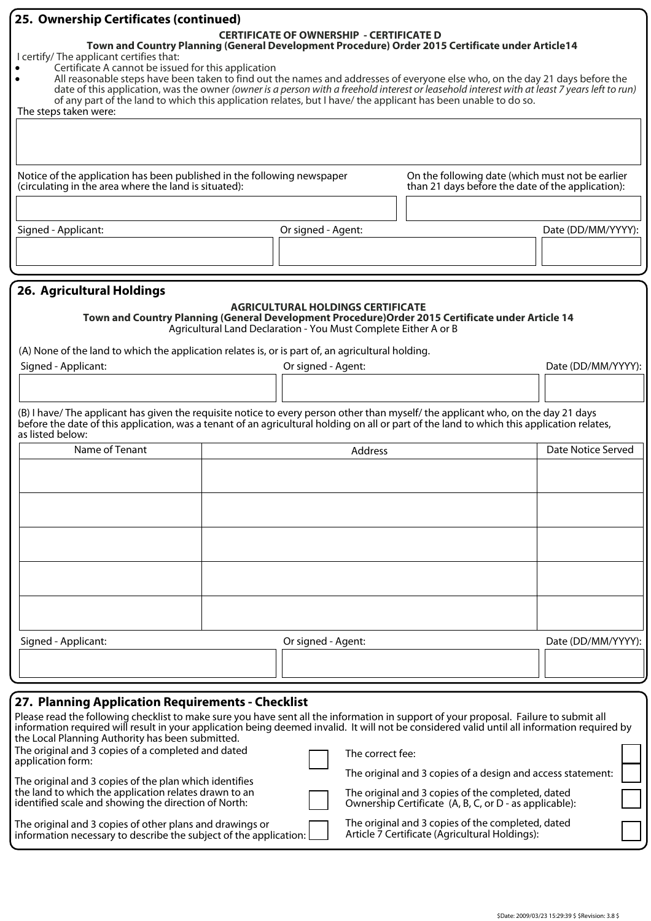| 25. Ownership Certificates (continued)                                                                                                                                                                                                                                                                                                                                                                                                                                                                                     |  |  |                                                                                                             |                                                                                                       |                    |
|----------------------------------------------------------------------------------------------------------------------------------------------------------------------------------------------------------------------------------------------------------------------------------------------------------------------------------------------------------------------------------------------------------------------------------------------------------------------------------------------------------------------------|--|--|-------------------------------------------------------------------------------------------------------------|-------------------------------------------------------------------------------------------------------|--------------------|
| I certify/ The applicant certifies that:<br>Certificate A cannot be issued for this application<br>All reasonable steps have been taken to find out the names and addresses of everyone else who, on the day 21 days before the<br>date of this application, was the owner (owner is a person with a freehold interest or leasehold interest with at least 7 years left to run)<br>of any part of the land to which this application relates, but I have/ the applicant has been unable to do so.<br>The steps taken were: |  |  | <b>CERTIFICATE OF OWNERSHIP - CERTIFICATE D</b>                                                             | Town and Country Planning (General Development Procedure) Order 2015 Certificate under Article14      |                    |
| Notice of the application has been published in the following newspaper<br>(circulating in the area where the land is situated):                                                                                                                                                                                                                                                                                                                                                                                           |  |  |                                                                                                             | On the following date (which must not be earlier<br>than 21 days before the date of the application): |                    |
|                                                                                                                                                                                                                                                                                                                                                                                                                                                                                                                            |  |  |                                                                                                             |                                                                                                       |                    |
| Signed - Applicant:                                                                                                                                                                                                                                                                                                                                                                                                                                                                                                        |  |  | Or signed - Agent:                                                                                          |                                                                                                       | Date (DD/MM/YYYY): |
|                                                                                                                                                                                                                                                                                                                                                                                                                                                                                                                            |  |  |                                                                                                             |                                                                                                       |                    |
| 26. Agricultural Holdings                                                                                                                                                                                                                                                                                                                                                                                                                                                                                                  |  |  |                                                                                                             |                                                                                                       |                    |
|                                                                                                                                                                                                                                                                                                                                                                                                                                                                                                                            |  |  | <b>AGRICULTURAL HOLDINGS CERTIFICATE</b><br>Agricultural Land Declaration - You Must Complete Either A or B | Town and Country Planning (General Development Procedure) Order 2015 Certificate under Article 14     |                    |
| (A) None of the land to which the application relates is, or is part of, an agricultural holding.                                                                                                                                                                                                                                                                                                                                                                                                                          |  |  |                                                                                                             |                                                                                                       |                    |
| Signed - Applicant:                                                                                                                                                                                                                                                                                                                                                                                                                                                                                                        |  |  | Or signed - Agent:                                                                                          |                                                                                                       | Date (DD/MM/YYYY): |
|                                                                                                                                                                                                                                                                                                                                                                                                                                                                                                                            |  |  |                                                                                                             |                                                                                                       |                    |
| (B) I have/The applicant has given the requisite notice to every person other than myself/the applicant who, on the day 21 days<br>before the date of this application, was a tenant of an agricultural holding on all or part of the land to which this application relates,<br>as listed below:                                                                                                                                                                                                                          |  |  |                                                                                                             |                                                                                                       |                    |
| Name of Tenant                                                                                                                                                                                                                                                                                                                                                                                                                                                                                                             |  |  | Address                                                                                                     |                                                                                                       | Date Notice Served |
|                                                                                                                                                                                                                                                                                                                                                                                                                                                                                                                            |  |  |                                                                                                             |                                                                                                       |                    |
|                                                                                                                                                                                                                                                                                                                                                                                                                                                                                                                            |  |  |                                                                                                             |                                                                                                       |                    |
|                                                                                                                                                                                                                                                                                                                                                                                                                                                                                                                            |  |  |                                                                                                             |                                                                                                       |                    |
|                                                                                                                                                                                                                                                                                                                                                                                                                                                                                                                            |  |  |                                                                                                             |                                                                                                       |                    |
|                                                                                                                                                                                                                                                                                                                                                                                                                                                                                                                            |  |  |                                                                                                             |                                                                                                       |                    |
|                                                                                                                                                                                                                                                                                                                                                                                                                                                                                                                            |  |  |                                                                                                             |                                                                                                       |                    |
|                                                                                                                                                                                                                                                                                                                                                                                                                                                                                                                            |  |  |                                                                                                             |                                                                                                       |                    |
|                                                                                                                                                                                                                                                                                                                                                                                                                                                                                                                            |  |  |                                                                                                             |                                                                                                       |                    |
|                                                                                                                                                                                                                                                                                                                                                                                                                                                                                                                            |  |  |                                                                                                             |                                                                                                       | Date (DD/MM/YYYY): |
| Signed - Applicant:                                                                                                                                                                                                                                                                                                                                                                                                                                                                                                        |  |  | Or signed - Agent:                                                                                          |                                                                                                       |                    |
|                                                                                                                                                                                                                                                                                                                                                                                                                                                                                                                            |  |  |                                                                                                             |                                                                                                       |                    |
|                                                                                                                                                                                                                                                                                                                                                                                                                                                                                                                            |  |  |                                                                                                             |                                                                                                       |                    |
| 27. Planning Application Requirements - Checklist<br>Please read the following checklist to make sure you have sent all the information in support of your proposal. Failure to submit all                                                                                                                                                                                                                                                                                                                                 |  |  |                                                                                                             |                                                                                                       |                    |
| information required will result in your application being deemed invalid. It will not be considered valid until all information required by<br>the Local Planning Authority has been submitted.                                                                                                                                                                                                                                                                                                                           |  |  |                                                                                                             |                                                                                                       |                    |
| The original and 3 copies of a completed and dated<br>application form:                                                                                                                                                                                                                                                                                                                                                                                                                                                    |  |  | The correct fee:                                                                                            |                                                                                                       |                    |

| application form:                                      | .                                                           |  |
|--------------------------------------------------------|-------------------------------------------------------------|--|
|                                                        | The original and 3 copies of a design and access statement: |  |
| The original and 3 copies of the plan which identifies |                                                             |  |
|                                                        |                                                             |  |
| the land to which the application relates drawn to an  | The original and 3 copies of the completed, dated           |  |
| identified scale and showing the direction of North:   | Ownership Certificate (A, B, C, or D - as applicable):      |  |

The original and 3 copies of other plans and drawings or information necessary to describe the subject of the application: Ownership Certificate (A, B, C, or D - as applicable):

The original and 3 copies of the completed, dated Article 7 Certificate (Agricultural Holdings):